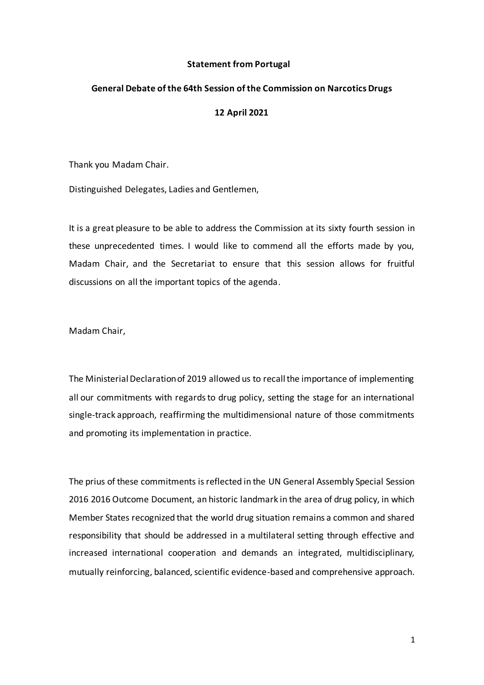## **Statement from Portugal**

## **General Debate of the 64th Session of the Commission on Narcotics Drugs**

## **12 April 2021**

Thank you Madam Chair.

Distinguished Delegates, Ladies and Gentlemen,

It is a great pleasure to be able to address the Commission at its sixty fourth session in these unprecedented times. I would like to commend all the efforts made by you, Madam Chair, and the Secretariat to ensure that this session allows for fruitful discussions on all the important topics of the agenda.

Madam Chair,

The Ministerial Declaration of 2019 allowed us to recall the importance of implementing all our commitments with regards to drug policy, setting the stage for an international single-track approach, reaffirming the multidimensional nature of those commitments and promoting its implementation in practice.

The prius of these commitments is reflected in the UN General Assembly Special Session 2016 2016 Outcome Document, an historic landmark in the area of drug policy, in which Member States recognized that the world drug situation remains a common and shared responsibility that should be addressed in a multilateral setting through effective and increased international cooperation and demands an integrated, multidisciplinary, mutually reinforcing, balanced, scientific evidence-based and comprehensive approach.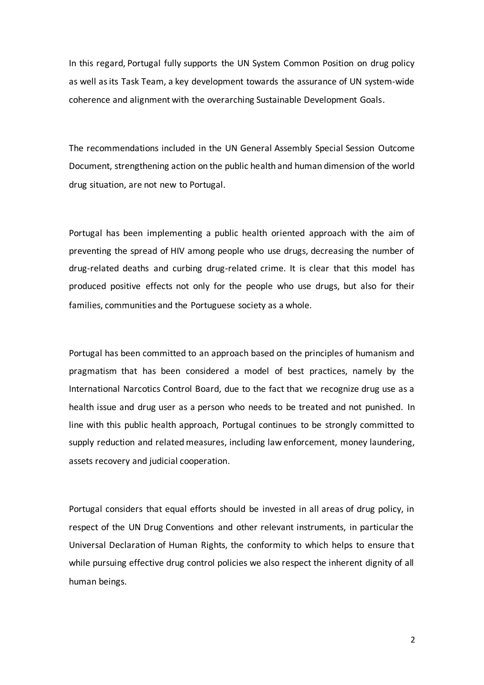In this regard, Portugal fully supports the UN System Common Position on drug policy as well as its Task Team, a key development towards the assurance of UN system-wide coherence and alignment with the overarching Sustainable Development Goals.

The recommendations included in the UN General Assembly Special Session Outcome Document, strengthening action on the public health and human dimension of the world drug situation, are not new to Portugal.

Portugal has been implementing a public health oriented approach with the aim of preventing the spread of HIV among people who use drugs, decreasing the number of drug-related deaths and curbing drug-related crime. It is clear that this model has produced positive effects not only for the people who use drugs, but also for their families, communities and the Portuguese society as a whole.

Portugal has been committed to an approach based on the principles of humanism and pragmatism that has been considered a model of best practices, namely by the International Narcotics Control Board, due to the fact that we recognize drug use as a health issue and drug user as a person who needs to be treated and not punished. In line with this public health approach, Portugal continues to be strongly committed to supply reduction and related measures, including law enforcement, money laundering, assets recovery and judicial cooperation.

Portugal considers that equal efforts should be invested in all areas of drug policy, in respect of the UN Drug Conventions and other relevant instruments, in particular the Universal Declaration of Human Rights, the conformity to which helps to ensure that while pursuing effective drug control policies we also respect the inherent dignity of all human beings.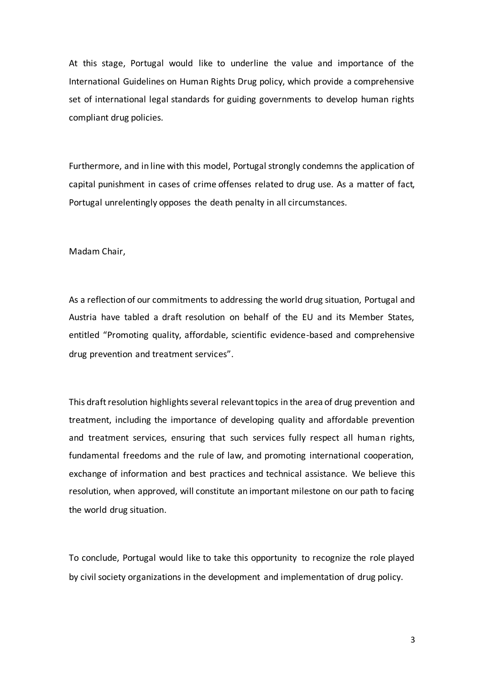At this stage, Portugal would like to underline the value and importance of the International Guidelines on Human Rights Drug policy, which provide a comprehensive set of international legal standards for guiding governments to develop human rights compliant drug policies.

Furthermore, and in line with this model, Portugal strongly condemns the application of capital punishment in cases of crime offenses related to drug use. As a matter of fact, Portugal unrelentingly opposes the death penalty in all circumstances.

Madam Chair,

As a reflection of our commitments to addressing the world drug situation, Portugal and Austria have tabled a draft resolution on behalf of the EU and its Member States, entitled "Promoting quality, affordable, scientific evidence-based and comprehensive drug prevention and treatment services".

This draft resolution highlights several relevanttopics in the area of drug prevention and treatment, including the importance of developing quality and affordable prevention and treatment services, ensuring that such services fully respect all human rights, fundamental freedoms and the rule of law, and promoting international cooperation, exchange of information and best practices and technical assistance. We believe this resolution, when approved, will constitute an important milestone on our path to facing the world drug situation.

To conclude, Portugal would like to take this opportunity to recognize the role played by civil society organizations in the development and implementation of drug policy.